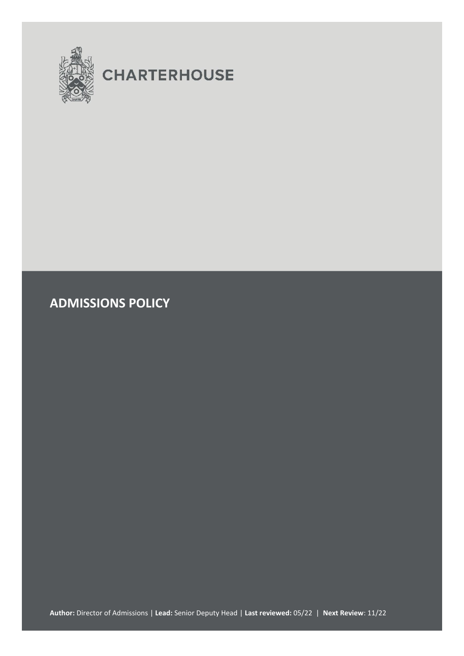

# **CHARTERHOUSE**

**ADMISSIONS POLICY**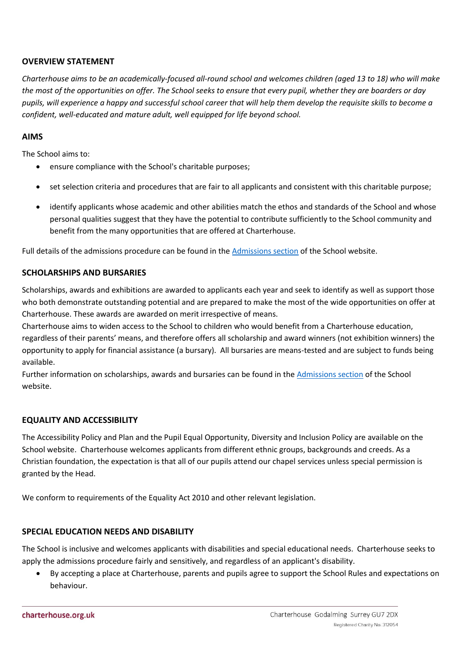## **OVERVIEW STATEMENT**

*Charterhouse aims to be an academically-focused all-round school and welcomes children (aged 13 to 18) who will make the most of the opportunities on offer. The School seeks to ensure that every pupil, whether they are boarders or day pupils, will experience a happy and successful school career that will help them develop the requisite skills to become a confident, well-educated and mature adult, well equipped for life beyond school.* 

## **AIMS**

The School aims to:

- ensure compliance with the School's charitable purposes;
- set selection criteria and procedures that are fair to all applicants and consistent with this charitable purpose;
- identify applicants whose academic and other abilities match the ethos and standards of the School and whose personal qualities suggest that they have the potential to contribute sufficiently to the School community and benefit from the many opportunities that are offered at Charterhouse.

Full details of the admissions procedure can be found in th[e Admissions section](http://www.charterhouse.org.uk/admissions) of the School website.

## **SCHOLARSHIPS AND BURSARIES**

Scholarships, awards and exhibitions are awarded to applicants each year and seek to identify as well as support those who both demonstrate outstanding potential and are prepared to make the most of the wide opportunities on offer at Charterhouse. These awards are awarded on merit irrespective of means.

Charterhouse aims to widen access to the School to children who would benefit from a Charterhouse education, regardless of their parents' means, and therefore offers all scholarship and award winners (not exhibition winners) the opportunity to apply for financial assistance (a bursary). All bursaries are means-tested and are subject to funds being available.

Further information on scholarships, awards and bursaries can be found in the [Admissions section](http://www.charterhouse.org.uk/admissions) of the School website.

### **EQUALITY AND ACCESSIBILITY**

The Accessibility Policy and Plan and the Pupil Equal Opportunity, Diversity and Inclusion Policy are available on the School website. Charterhouse welcomes applicants from different ethnic groups, backgrounds and creeds. As a Christian foundation, the expectation is that all of our pupils attend our chapel services unless special permission is granted by the Head.

We conform to requirements of the Equality Act 2010 and other relevant legislation.

### **SPECIAL EDUCATION NEEDS AND DISABILITY**

The School is inclusive and welcomes applicants with disabilities and special educational needs. Charterhouse seeks to apply the admissions procedure fairly and sensitively, and regardless of an applicant's disability.

 By accepting a place at Charterhouse, parents and pupils agree to support th[e School Rules](http://www.charterhouse.org.uk/SchoolPolicyDocuments) and expectations on behaviour.